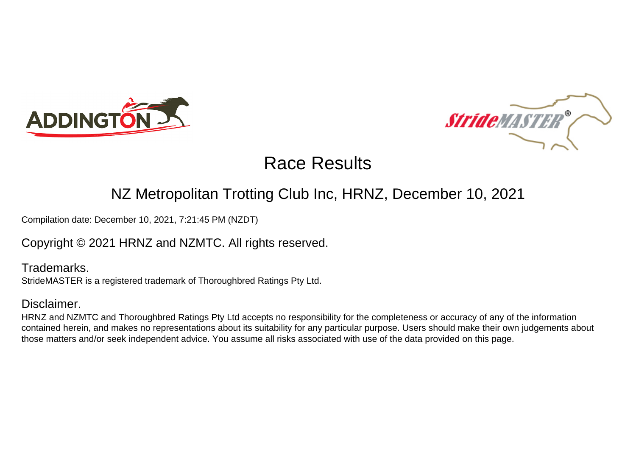



### NZ Metropolitan Trotting Club Inc, HRNZ, December 10, 2021

Compilation date: December 10, 2021, 7:21:45 PM (NZDT)

Copyright © 2021 HRNZ and NZMTC. All rights reserved.

Trademarks. StrideMASTER is a registered trademark of Thoroughbred Ratings Pty Ltd.

### Disclaimer.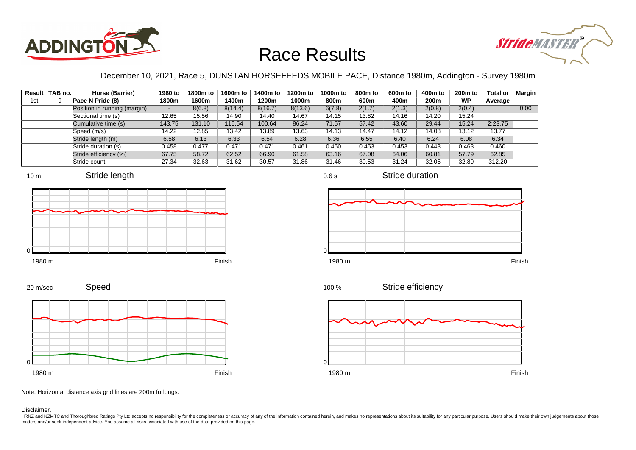



### December 10, 2021, Race 5, DUNSTAN HORSEFEEDS MOBILE PACE, Distance 1980m, Addington - Survey 1980m

|     | Result TAB no. | Horse (Barrier)              | 1980 to                  | 1800m to | 1600m to | 1400m to | 1200m to | 1000m to | 800m to | 600 <sub>m</sub> to | 400m to          | 200 <sub>m</sub> to | <b>Total or</b> | Margin |
|-----|----------------|------------------------------|--------------------------|----------|----------|----------|----------|----------|---------|---------------------|------------------|---------------------|-----------------|--------|
| 1st |                | Pace N Pride (8)             | 1800m                    | 1600m    | 1400m    | 1200m    | 1000m    | 800m     | 600m    | 400m                | 200 <sub>m</sub> | <b>WP</b>           | Average         |        |
|     |                | Position in running (margin) | $\overline{\phantom{a}}$ | 8(6.8)   | 8(14.4)  | 8(16.7)  | 8(13.6)  | 6(7.8)   | 2(1.7)  | 2(1.3)              | 2(0.8)           | 2(0.4)              |                 | 0.00   |
|     |                | Sectional time (s)           | 12.65                    | 15.56    | 14.90    | 14.40    | 14.67    | 14.15    | 13.82   | 14.16               | 14.20            | 15.24               |                 |        |
|     |                | Cumulative time (s)          | 143.75                   | 131.10   | 115.54   | 100.64   | 86.24    | 71.57    | 57.42   | 43.60               | 29.44            | 15.24               | 2:23.75         |        |
|     |                | Speed (m/s)                  | 14.22                    | 12.85    | 13.42    | 13.89    | 13.63    | 14.13    | 14.47   | 14.12               | 14.08            | 13.12               | 13.77           |        |
|     |                | Stride length (m)            | 6.58                     | 6.13     | 6.33     | 6.54     | 6.28     | 6.36     | 6.55    | 6.40                | 6.24             | 6.08                | 6.34            |        |
|     |                | Stride duration (s)          | 0.458                    | 0.477    | 0.471    | 0.471    | 0.461    | 0.450    | 0.453   | 0.453               | 0.443            | 0.463               | 0.460           |        |
|     |                | Stride efficiency (%)        | 67.75                    | 58.72    | 62.52    | 66.90    | 61.58    | 63.16    | 67.08   | 64.06               | 60.81            | 57.79               | 62.85           |        |
|     |                | Stride count                 | 27.34                    | 32.63    | 31.62    | 30.57    | 31.86    | 31.46    | 30.53   | 31.24               | 32.06            | 32.89               | 312.20          |        |







Stride duration









Note: Horizontal distance axis grid lines are 200m furlongs.

#### Disclaimer.

HRNZ and NZMTC and Thoroughbred Ratings Pty Ltd accepts no responsibility for the completeness or accuracy of any of the information contained herein, and makes no representations about its suitability for any particular p matters and/or seek independent advice. You assume all risks associated with use of the data provided on this page.

0.6 s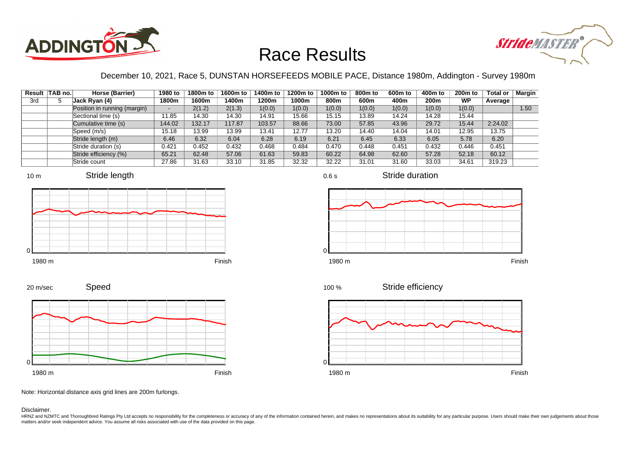



### December 10, 2021, Race 5, DUNSTAN HORSEFEEDS MOBILE PACE, Distance 1980m, Addington - Survey 1980m

|     | Result TAB no. | Horse (Barrier)              | 1980 to | 1800m to | 1600m to | 1400m to | 1200m to | 1000m to | 800m to | 600 <sub>m</sub> to | 400m to | 200 <sub>m</sub> to | <b>Total or</b> | Margin |
|-----|----------------|------------------------------|---------|----------|----------|----------|----------|----------|---------|---------------------|---------|---------------------|-----------------|--------|
| 3rd |                | Jack Ryan (4)                | 1800m   | 1600m    | 1400m    | 1200m    | 1000m    | 800m     | 600m    | 400m                | 200m    | <b>WP</b>           | Average         |        |
|     |                | Position in running (margin) | $\sim$  | 2(1.2)   | 2(1.3)   | 1(0.0)   | 1(0.0)   | 1(0.0)   | 1(0.0)  | 1(0.0)              | 1(0.0)  | 1(0.0)              |                 | 1.50   |
|     |                | Sectional time (s)           | 11.85   | 14.30    | 14.30    | 14.91    | 15.66    | 15.15    | 13.89   | 14.24               | 14.28   | 15.44               |                 |        |
|     |                | Cumulative time (s)          | 144.02  | 132.17   | 117.87   | 103.57   | 88.66    | 73.00    | 57.85   | 43.96               | 29.72   | 15.44               | 2:24.02         |        |
|     |                | Speed (m/s)                  | 15.18   | 13.99    | 13.99    | 13.41    | 12.77    | 13.20    | 14.40   | 14.04               | 14.01   | 12.95               | 13.75           |        |
|     |                | Stride length (m)            | 6.46    | 6.32     | 6.04     | 6.28     | 6.19     | 6.21     | 6.45    | 6.33                | 6.05    | 5.78                | 6.20            |        |
|     |                | Stride duration (s)          | 0.421   | 0.452    | 0.432    | 0.468    | 0.484    | 0.470    | 0.448   | 0.451               | 0.432   | 0.446               | 0.451           |        |
|     |                | Stride efficiency (%)        | 65.21   | 62.48    | 57.06    | 61.63    | 59.83    | 60.22    | 64.98   | 62.60               | 57.28   | 52.18               | 60.12           |        |
|     |                | Stride count                 | 27.86   | 31.63    | 33.10    | 31.85    | 32.32    | 32.22    | 31.01   | 31.60               | 33.03   | 34.61               | 319.23          |        |













Stride duration







Note: Horizontal distance axis grid lines are 200m furlongs.

Disclaimer.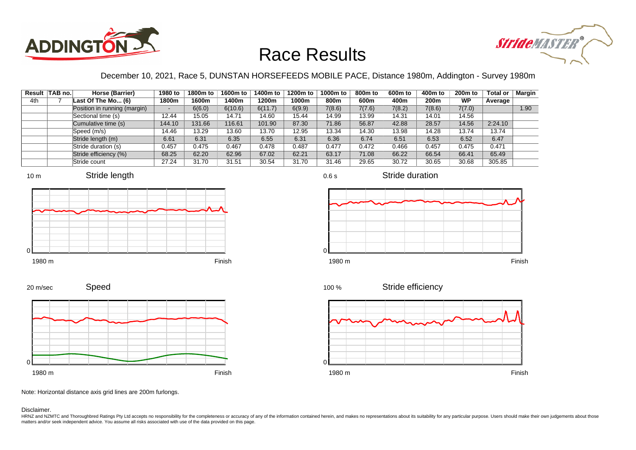



### December 10, 2021, Race 5, DUNSTAN HORSEFEEDS MOBILE PACE, Distance 1980m, Addington - Survey 1980m

|     | Result TAB no. | Horse (Barrier)              | 1980 to | 1800m to | 1600m to | 1400m to | 1200m to | 1000m to | 800 <sub>m</sub> to | 600m to | 400m to | 200 <sub>m</sub> to | <b>Total or</b> | Margin |
|-----|----------------|------------------------------|---------|----------|----------|----------|----------|----------|---------------------|---------|---------|---------------------|-----------------|--------|
| 4th |                | Last Of The Mo (6)           | 1800m   | 1600m    | 1400m    | 1200m    | 1000m    | 800m     | 600m                | 400m    | 200m    | <b>WP</b>           | Average         |        |
|     |                | Position in running (margin) | -       | 6(6.0)   | 6(10.6)  | 6(11.7)  | 6(9.9)   | 7(8.6)   | 7(7.6)              | 7(8.2)  | 7(8.6)  | 7(7.0)              |                 | 1.90   |
|     |                | Sectional time (s)           | 12.44   | 15.05    | 14.71    | 14.60    | 15.44    | 14.99    | 13.99               | 14.31   | 14.01   | 14.56               |                 |        |
|     |                | Cumulative time (s)          | 144.10  | 131.66   | 116.61   | 101.90   | 87.30    | 71.86    | 56.87               | 42.88   | 28.57   | 14.56               | 2:24.10         |        |
|     |                | Speed (m/s)                  | 14.46   | 13.29    | 13.60    | 13.70    | 12.95    | 13.34    | 14.30               | 13.98   | 14.28   | 13.74               | 13.74           |        |
|     |                | Stride length (m)            | 6.61    | 6.31     | 6.35     | 6.55     | 6.31     | 6.36     | 6.74                | 6.51    | 6.53    | 6.52                | 6.47            |        |
|     |                | Stride duration (s)          | 0.457   | 0.475    | 0.467    | 0.478    | 0.487    | 0.477    | 0.472               | 0.466   | 0.457   | 0.475               | 0.471           |        |
|     |                | Stride efficiency (%)        | 68.25   | 62.20    | 62.96    | 67.02    | 62.21    | 63.17    | 71.08               | 66.22   | 66.54   | 66.41               | 65.49           |        |
|     |                | Stride count                 | 27.24   | 31.70    | 31.51    | 30.54    | 31.70    | 31.46    | 29.65               | 30.72   | 30.65   | 30.68               | 305.85          |        |







Stride duration





1980 m Finish

Stride efficiency 100 %



Note: Horizontal distance axis grid lines are 200m furlongs.

Disclaimer.

0

HRNZ and NZMTC and Thoroughbred Ratings Pty Ltd accepts no responsibility for the completeness or accuracy of any of the information contained herein, and makes no representations about its suitability for any particular p matters and/or seek independent advice. You assume all risks associated with use of the data provided on this page.

0.6 s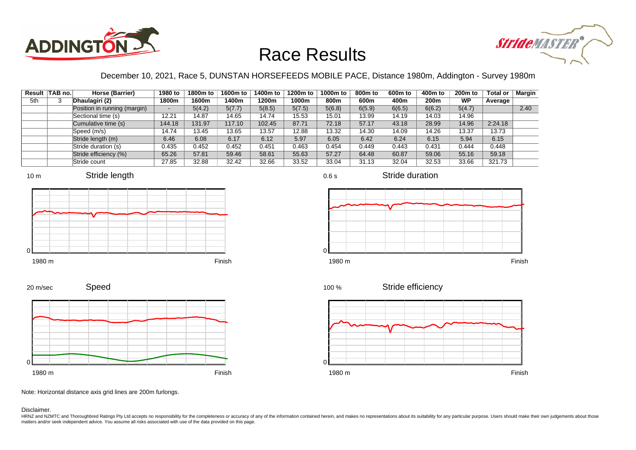



### December 10, 2021, Race 5, DUNSTAN HORSEFEEDS MOBILE PACE, Distance 1980m, Addington - Survey 1980m

0.6 s

| Result | TAB no. | Horse (Barrier)              | 1980 to | 1800m to | 1600m to | 1400m to | 1200m to | 1000m to | 800 <sub>m</sub> to | 600 <sub>m</sub> to | 400m to | 200 <sub>m</sub> to | <b>Total or</b> | Margin |
|--------|---------|------------------------------|---------|----------|----------|----------|----------|----------|---------------------|---------------------|---------|---------------------|-----------------|--------|
| 5th    | 3       | Dhaulagiri (2)               | 1800m   | 1600m    | 1400m    | 1200m    | 1000m    | 800m     | 600m                | 400m                | 200m    | <b>WP</b>           | Average         |        |
|        |         | Position in running (margin) |         | 5(4.2)   | 5(7.7)   | 5(8.5)   | 5(7.5)   | 5(6.8)   | 6(5.9)              | 6(6.5)              | 6(6.2)  | 5(4.7)              |                 | 2.40   |
|        |         | Sectional time (s)           | 12.21   | 14.87    | 14.65    | 14.74    | 15.53    | 15.01    | 13.99               | 14.19               | 14.03   | 14.96               |                 |        |
|        |         | Cumulative time (s)          | 144.18  | 131.97   | 117.10   | 102.45   | 87.71    | 72.18    | 57.17               | 43.18               | 28.99   | 14.96               | 2:24.18         |        |
|        |         | Speed (m/s)                  | 14.74   | 13.45    | 13.65    | 13.57    | 12.88    | 13.32    | 14.30               | 14.09               | 14.26   | 13.37               | 13.73           |        |
|        |         | Stride length (m)            | 6.46    | 6.08     | 6.17     | 6.12     | 5.97     | 6.05     | 6.42                | 6.24                | 6.15    | 5.94                | 6.15            |        |
|        |         | Stride duration (s)          | 0.435   | 0.452    | 0.452    | 0.451    | 0.463    | 0.454    | 0.449               | 0.443               | 0.431   | 0.444               | 0.448           |        |
|        |         | Stride efficiency (%)        | 65.26   | 57.81    | 59.46    | 58.61    | 55.63    | 57.27    | 64.48               | 60.87               | 59.06   | 55.16               | 59.18           |        |
|        |         | Stride count                 | 27.85   | 32.88    | 32.42    | 32.66    | 33.52    | 33.04    | 31.13               | 32.04               | 32.53   | 33.66               | 321.73          |        |









Stride duration





Stride efficiency 100 %



Speed 20 m/sec



Note: Horizontal distance axis grid lines are 200m furlongs.

Disclaimer.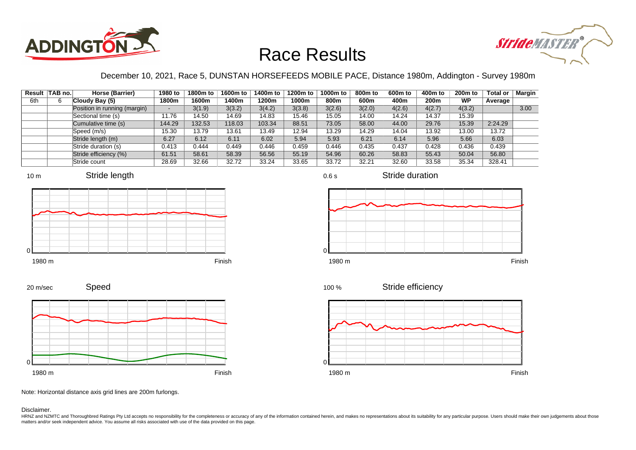



### December 10, 2021, Race 5, DUNSTAN HORSEFEEDS MOBILE PACE, Distance 1980m, Addington - Survey 1980m

|     | Result   TAB no. | Horse (Barrier)              | 1980 to                  | 1800m to | 1600m to | 1400m to | 1200m to | 1000m to | 800 <sub>m</sub> to | 600m to | 400m to          | 200 <sub>m</sub> to | <b>Total or</b> | <b>Margin</b> |
|-----|------------------|------------------------------|--------------------------|----------|----------|----------|----------|----------|---------------------|---------|------------------|---------------------|-----------------|---------------|
| 6th |                  | Cloudy Bay (5)               | 1800m                    | 1600m    | 1400m    | 1200m    | 1000m    | 800m     | 600m                | 400m    | 200 <sub>m</sub> | <b>WP</b>           | Average         |               |
|     |                  | Position in running (margin) | $\overline{\phantom{a}}$ | 3(1.9)   | 3(3.2)   | 3(4.2)   | 3(3.8)   | 3(2.6)   | 3(2.0)              | 4(2.6)  | 4(2.7)           | 4(3.2)              |                 | 3.00          |
|     |                  | Sectional time (s)           | 11.76                    | 14.50    | 14.69    | 14.83    | 15.46    | 15.05    | 14.00               | 14.24   | 14.37            | 15.39               |                 |               |
|     |                  | Cumulative time (s)          | 144.29                   | 132.53   | 118.03   | 103.34   | 88.51    | 73.05    | 58.00               | 44.00   | 29.76            | 15.39               | 2:24.29         |               |
|     |                  | Speed (m/s)                  | 15.30                    | 13.79    | 13.61    | 13.49    | 12.94    | 13.29    | 14.29               | 14.04   | 13.92            | 13.00               | 13.72           |               |
|     |                  | Stride length (m)            | 6.27                     | 6.12     | 6.11     | 6.02     | 5.94     | 5.93     | 6.21                | 6.14    | 5.96             | 5.66                | 6.03            |               |
|     |                  | Stride duration (s)          | 0.413                    | 0.444    | 0.449    | 0.446    | 0.459    | 0.446    | 0.435               | 0.437   | 0.428            | 0.436               | 0.439           |               |
|     |                  | Stride efficiency (%)        | 61.51                    | 58.61    | 58.39    | 56.56    | 55.19    | 54.96    | 60.26               | 58.83   | 55.43            | 50.04               | 56.80           |               |
|     |                  | Stride count                 | 28.69                    | 32.66    | 32.72    | 33.24    | 33.65    | 33.72    | 32.21               | 32.60   | 33.58            | 35.34               | 328.41          |               |







1980 m Finish







Speed 20 m/sec



Note: Horizontal distance axis grid lines are 200m furlongs.

Disclaimer.

HRNZ and NZMTC and Thoroughbred Ratings Pty Ltd accepts no responsibility for the completeness or accuracy of any of the information contained herein, and makes no representations about its suitability for any particular p matters and/or seek independent advice. You assume all risks associated with use of the data provided on this page.

0.6 s

Stride duration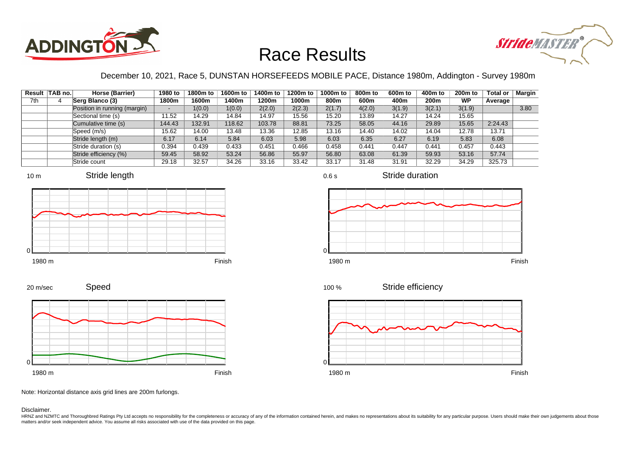



### December 10, 2021, Race 5, DUNSTAN HORSEFEEDS MOBILE PACE, Distance 1980m, Addington - Survey 1980m

0.6 s

|     | Result   TAB no. | Horse (Barrier)              | 1980 to                  | 1800m to | 1600m to | 1400m to | 1200m to | 1000m to | 800m to | 600 <sub>m</sub> to | 400m to          | 200 <sub>m</sub> to | <b>Total or</b> | Margin |
|-----|------------------|------------------------------|--------------------------|----------|----------|----------|----------|----------|---------|---------------------|------------------|---------------------|-----------------|--------|
| 7th |                  | Serg Blanco (3)              | 1800m                    | 1600m    | 1400m    | 1200m    | 1000m    | 800m     | 600m    | 400m                | 200 <sub>m</sub> | <b>WP</b>           | Average         |        |
|     |                  | Position in running (margin) | $\overline{\phantom{a}}$ | 1(0.0)   | 1(0.0)   | 2(2.0)   | 2(2.3)   | 2(1.7)   | 4(2.0)  | 3(1.9)              | 3(2.1)           | 3(1.9)              |                 | 3.80   |
|     |                  | Sectional time (s)           | 11.52                    | 14.29    | 14.84    | 14.97    | 15.56    | 15.20    | 13.89   | 14.27               | 14.24            | 15.65               |                 |        |
|     |                  | Cumulative time (s)          | 144.43                   | 132.91   | 118.62   | 103.78   | 88.81    | 73.25    | 58.05   | 44.16               | 29.89            | 15.65               | 2:24.43         |        |
|     |                  | Speed (m/s)                  | 15.62                    | 14.00    | 13.48    | 13.36    | 12.85    | 13.16    | 14.40   | 14.02               | 14.04            | 12.78               | 13.71           |        |
|     |                  | Stride length (m)            | 6.17                     | 6.14     | 5.84     | 6.03     | 5.98     | 6.03     | 6.35    | 6.27                | 6.19             | 5.83                | 6.08            |        |
|     |                  | Stride duration (s)          | 0.394                    | 0.439    | 0.433    | 0.451    | 0.466    | 0.458    | 0.441   | 0.447               | 0.441            | 0.457               | 0.443           |        |
|     |                  | Stride efficiency (%)        | 59.45                    | 58.92    | 53.24    | 56.86    | 55.97    | 56.80    | 63.08   | 61.39               | 59.93            | 53.16               | 57.74           |        |
|     |                  | Stride count                 | 29.18                    | 32.57    | 34.26    | 33.16    | 33.42    | 33.17    | 31.48   | 31.91               | 32.29            | 34.29               | 325.73          |        |



















Note: Horizontal distance axis grid lines are 200m furlongs.

#### Disclaimer.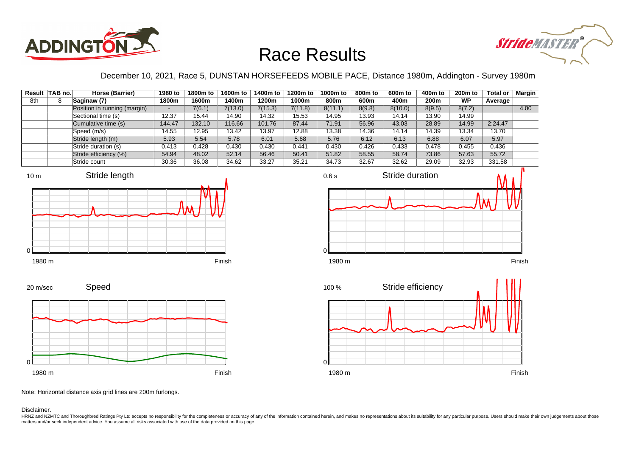



December 10, 2021, Race 5, DUNSTAN HORSEFEEDS MOBILE PACE, Distance 1980m, Addington - Survey 1980m

|     | Result TAB no. | Horse (Barrier)              | 1980 to                  | 1800m to | 1600m to | 1400m to | 1200m to | 1000m to | 800 <sub>m</sub> to | 600m to | 400m to | 200 <sub>m</sub> to | <b>Total or</b> | Margin |
|-----|----------------|------------------------------|--------------------------|----------|----------|----------|----------|----------|---------------------|---------|---------|---------------------|-----------------|--------|
| 8th |                | Saginaw (7)                  | 1800m                    | 1600m    | 1400m    | 1200m    | 1000m    | 800m     | 600m                | 400m    | 200m    | WP                  | Average         |        |
|     |                | Position in running (margin) | $\overline{\phantom{a}}$ | 7(6.1)   | 7(13.0)  | 7(15.3)  | 7(11.8)  | 8(11.1)  | 8(9.8)              | 8(10.0) | 8(9.5)  | 8(7.2)              |                 | 4.00   |
|     |                | Sectional time (s)           | 12.37                    | 15.44    | 14.90    | 14.32    | 15.53    | 14.95    | 13.93               | 14.14   | 13.90   | 14.99               |                 |        |
|     |                | Cumulative time (s)          | 144.47                   | 132.10   | 116.66   | 101.76   | 87.44    | 71.91    | 56.96               | 43.03   | 28.89   | 14.99               | 2:24.47         |        |
|     |                | Speed (m/s)                  | 14.55                    | 12.95    | 13.42    | 13.97    | 12.88    | 13.38    | 14.36               | 14.14   | 14.39   | 13.34               | 13.70           |        |
|     |                | Stride length (m)            | 5.93                     | 5.54     | 5.78     | 6.01     | 5.68     | 5.76     | 6.12                | 6.13    | 6.88    | 6.07                | 5.97            |        |
|     |                | Stride duration (s)          | 0.413                    | 0.428    | 0.430    | 0.430    | 0.441    | 0.430    | 0.426               | 0.433   | 0.478   | 0.455               | 0.436           |        |
|     |                | Stride efficiency (%)        | 54.94                    | 48.02    | 52.14    | 56.46    | 50.41    | 51.82    | 58.55               | 58.74   | 73.86   | 57.63               | 55.72           |        |
|     |                | Stride count                 | 30.36                    | 36.08    | 34.62    | 33.27    | 35.21    | 34.73    | 32.67               | 32.62   | 29.09   | 32.93               | 331.58          |        |







Speed 20 m/sec



Note: Horizontal distance axis grid lines are 200m furlongs.

Disclaimer.